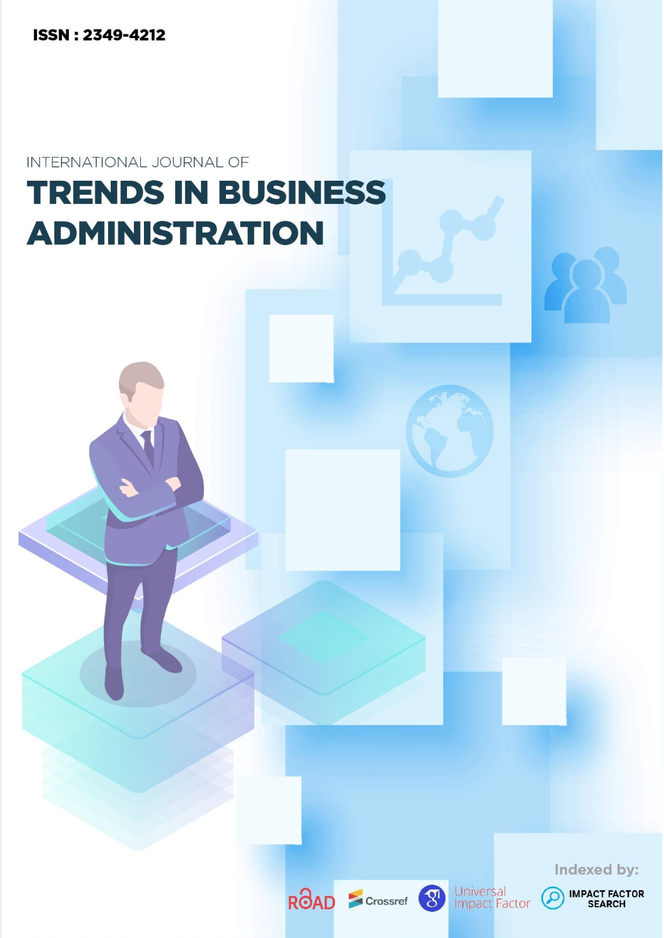**ISSN: 2349-4212** 

INTERNATIONAL JOURNAL OF

# **TRENDS IN BUSINESS ADMINISTRATION**

ROAD S Crossref 8



Universal<br>Impact Factor

 $\Omega$ 

**IMPACT FACTOR**<br>SEARCH

Indexed by: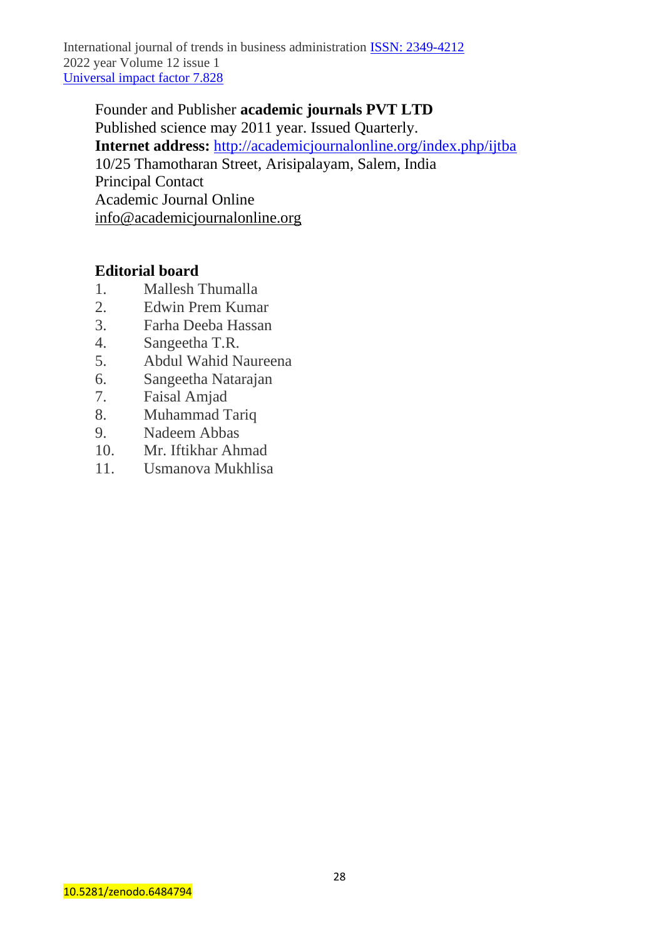Founder and Publisher **academic journals PVT LTD**  Published science may 2011 year. Issued Quarterly. **Internet address:** <http://academicjournalonline.org/index.php/ijtba> 10/25 Thamotharan Street, Arisipalayam, Salem, India Principal Contact Academic Journal Online [info@academicjournalonline.org](mailto:info@academicjournalonline.org)

# **Editorial board**

- 1. Mallesh Thumalla
- 2. Edwin Prem Kumar
- 3. Farha Deeba Hassan
- 4. Sangeetha T.R.
- 5. Abdul Wahid Naureena
- 6. Sangeetha Natarajan
- 7. Faisal Amjad
- 8. Muhammad Tariq
- 9. Nadeem Abbas
- 10. Mr. Iftikhar Ahmad
- 11. Usmanova Mukhlisa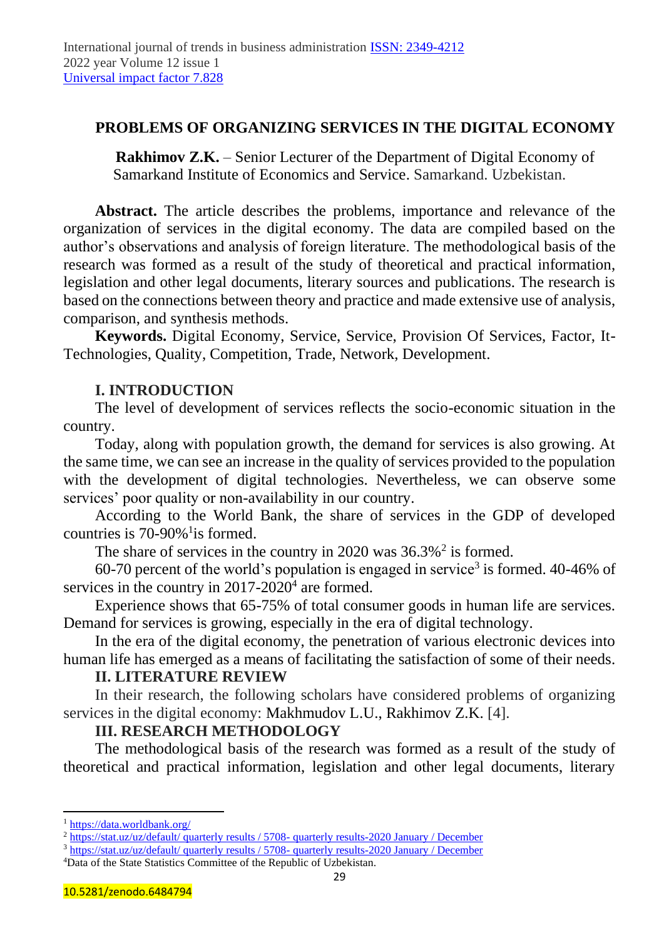# **PROBLEMS OF ORGANIZING SERVICES IN THE DIGITAL ECONOMY**

**Rakhimov Z.K.** – Senior Lecturer of the Department of Digital Economy of Samarkand Institute of Economics and Service. Samarkand. Uzbekistan.

**Abstract.** The article describes the problems, importance and relevance of the organization of services in the digital economy. The data are compiled based on the author's observations and analysis of foreign literature. The methodological basis of the research was formed as a result of the study of theoretical and practical information, legislation and other legal documents, literary sources and publications. The research is based on the connections between theory and practice and made extensive use of analysis, comparison, and synthesis methods.

**Keywords.** Digital Economy, Service, Service, Provision Of Services, Factor, It-Technologies, Quality, Competition, Trade, Network, Development.

# **I. INTRODUCTION**

The level of development of services reflects the socio-economic situation in the country.

Today, along with population growth, the demand for services is also growing. At the same time, we can see an increase in the quality of services provided to the population with the development of digital technologies. Nevertheless, we can observe some services' poor quality or non-availability in our country.

According to the World Bank, the share of services in the GDP of developed countries is  $70-90\%$ <sup>1</sup> is formed.

The share of services in the country in 2020 was  $36.3\%$ <sup>2</sup> is formed.

60-70 percent of the world's population is engaged in service<sup>3</sup> is formed.  $40-46\%$  of services in the country in  $2017-2020<sup>4</sup>$  are formed.

Experience shows that 65-75% of total consumer goods in human life are services. Demand for services is growing, especially in the era of digital technology.

In the era of the digital economy, the penetration of various electronic devices into human life has emerged as a means of facilitating the satisfaction of some of their needs.

#### **II. LITERATURE REVIEW**

In their research, the following scholars have considered problems of organizing services in the digital economy: Makhmudov L.U., Rakhimov Z.K. [4].

#### **III. RESEARCH METHODOLOGY**

The methodological basis of the research was formed as a result of the study of theoretical and practical information, legislation and other legal documents, literary

<sup>1</sup> <https://data.worldbank.org/>

<sup>&</sup>lt;sup>2</sup> [https://stat.uz/uz/default/ quarterly results / 5708-](https://stat.uz/uz/default/choraklik-natijalar/5708-choraklik-natijalar-2020#yanvar-dekabr) quarterly results-2020 January / December

<sup>3</sup> [https://stat.uz/uz/default/ quarterly results / 5708-](https://stat.uz/uz/default/choraklik-natijalar/5708-choraklik-natijalar-2020#yanvar-dekabr) quarterly results-2020 January / December

<sup>4</sup>Data of the State Statistics Committee of the Republic of Uzbekistan.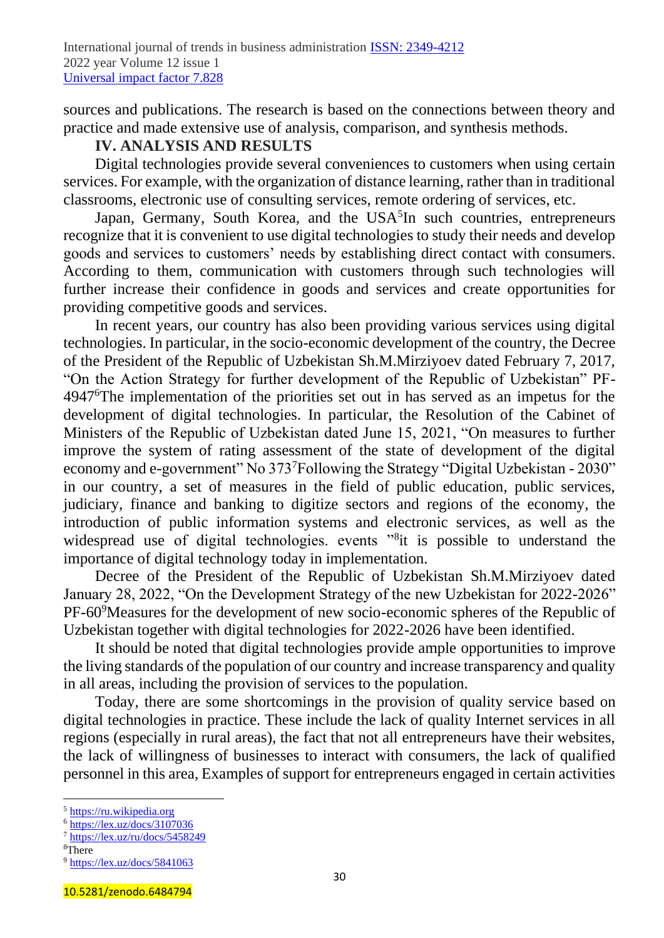sources and publications. The research is based on the connections between theory and practice and made extensive use of analysis, comparison, and synthesis methods.

### **IV. ANALYSIS AND RESULTS**

Digital technologies provide several conveniences to customers when using certain services. For example, with the organization of distance learning, rather than in traditional classrooms, electronic use of consulting services, remote ordering of services, etc.

Japan, Germany, South Korea, and the USA<sup>5</sup>In such countries, entrepreneurs recognize that it is convenient to use digital technologies to study their needs and develop goods and services to customers' needs by establishing direct contact with consumers. According to them, communication with customers through such technologies will further increase their confidence in goods and services and create opportunities for providing competitive goods and services.

In recent years, our country has also been providing various services using digital technologies. In particular, in the socio-economic development of the country, the Decree of the President of the Republic of Uzbekistan Sh.M.Mirziyoev dated February 7, 2017, "On the Action Strategy for further development of the Republic of Uzbekistan" PF-4947<sup>6</sup>The implementation of the priorities set out in has served as an impetus for the development of digital technologies. In particular, the Resolution of the Cabinet of Ministers of the Republic of Uzbekistan dated June 15, 2021, "On measures to further improve the system of rating assessment of the state of development of the digital economy and e-government" No 373<sup>7</sup>Following the Strategy "Digital Uzbekistan - 2030" in our country, a set of measures in the field of public education, public services, judiciary, finance and banking to digitize sectors and regions of the economy, the introduction of public information systems and electronic services, as well as the widespread use of digital technologies. events "<sup>8</sup>it is possible to understand the importance of digital technology today in implementation.

Decree of the President of the Republic of Uzbekistan Sh.M.Mirziyoev dated January 28, 2022, "On the Development Strategy of the new Uzbekistan for 2022-2026" PF-60<sup>9</sup>Measures for the development of new socio-economic spheres of the Republic of Uzbekistan together with digital technologies for 2022-2026 have been identified.

It should be noted that digital technologies provide ample opportunities to improve the living standards of the population of our country and increase transparency and quality in all areas, including the provision of services to the population.

Today, there are some shortcomings in the provision of quality service based on digital technologies in practice. These include the lack of quality Internet services in all regions (especially in rural areas), the fact that not all entrepreneurs have their websites, the lack of willingness of businesses to interact with consumers, the lack of qualified personnel in this area, Examples of support for entrepreneurs engaged in certain activities

<sup>5</sup> [https://ru.wikipedia.org](https://ru.wikipedia.org/)

<sup>6</sup> <https://lex.uz/docs/3107036>

<sup>7</sup> <https://lex.uz/ru/docs/5458249>

<sup>&</sup>lt;sup>8</sup>There

<sup>9</sup> <https://lex.uz/docs/5841063>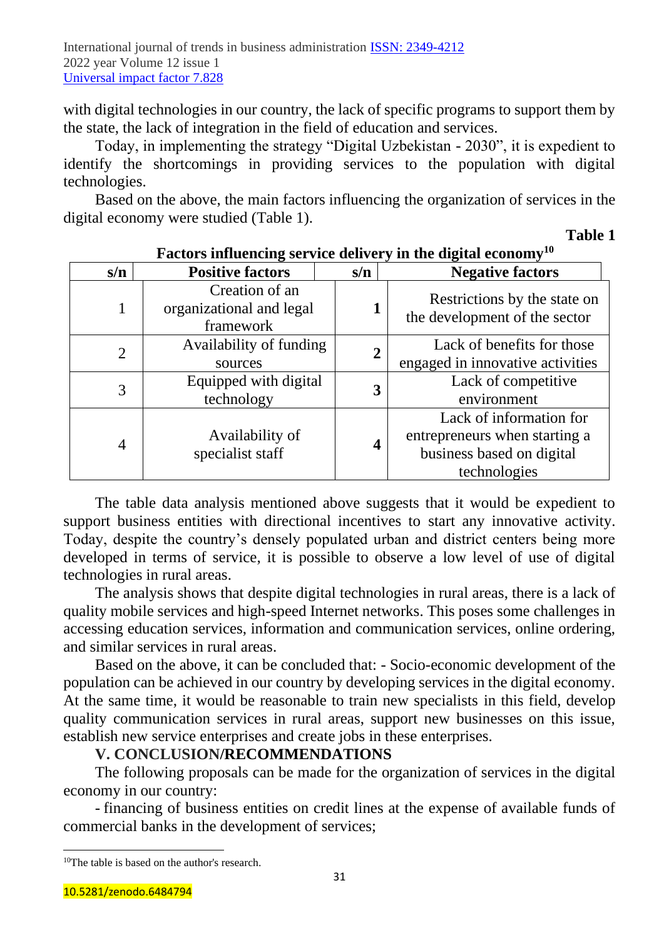with digital technologies in our country, the lack of specific programs to support them by the state, the lack of integration in the field of education and services.

Today, in implementing the strategy "Digital Uzbekistan - 2030", it is expedient to identify the shortcomings in providing services to the population with digital technologies.

Based on the above, the main factors influencing the organization of services in the digital economy were studied (Table 1).

**Table 1**

| s/n            | <b>Positive factors</b>                                 | s/n              | <b>Negative factors</b>                                                                               |
|----------------|---------------------------------------------------------|------------------|-------------------------------------------------------------------------------------------------------|
| 1              | Creation of an<br>organizational and legal<br>framework | 1                | Restrictions by the state on<br>the development of the sector                                         |
| $\overline{2}$ | Availability of funding<br>sources                      | $\boldsymbol{2}$ | Lack of benefits for those<br>engaged in innovative activities                                        |
| 3              | Equipped with digital<br>technology                     | 3                | Lack of competitive<br>environment                                                                    |
| $\overline{4}$ | Availability of<br>specialist staff                     | $\boldsymbol{4}$ | Lack of information for<br>entrepreneurs when starting a<br>business based on digital<br>technologies |

# **Factors influencing service delivery in the digital economy<sup>10</sup>**

The table data analysis mentioned above suggests that it would be expedient to support business entities with directional incentives to start any innovative activity. Today, despite the country's densely populated urban and district centers being more developed in terms of service, it is possible to observe a low level of use of digital technologies in rural areas.

The analysis shows that despite digital technologies in rural areas, there is a lack of quality mobile services and high-speed Internet networks. This poses some challenges in accessing education services, information and communication services, online ordering, and similar services in rural areas.

Based on the above, it can be concluded that: - Socio-economic development of the population can be achieved in our country by developing services in the digital economy. At the same time, it would be reasonable to train new specialists in this field, develop quality communication services in rural areas, support new businesses on this issue, establish new service enterprises and create jobs in these enterprises.

### **V. CONCLUSION/RECOMMENDATIONS**

The following proposals can be made for the organization of services in the digital economy in our country:

- financing of business entities on credit lines at the expense of available funds of commercial banks in the development of services;

<sup>10</sup>The table is based on the author's research.